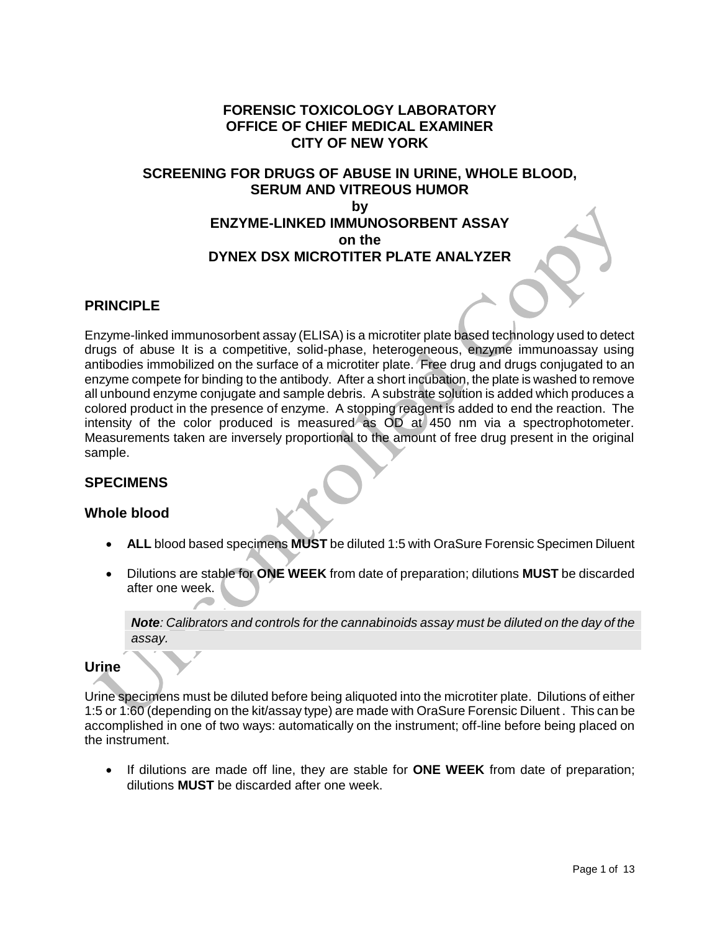# **FORENSIC TOXICOLOGY LABORATORY OFFICE OF CHIEF MEDICAL EXAMINER CITY OF NEW YORK**

# **SCREENING FOR DRUGS OF ABUSE IN URINE, WHOLE BLOOD, SERUM AND VITREOUS HUMOR by ENZYME-LINKED IMMUNOSORBENT ASSAY on the DYNEX DSX MICROTITER PLATE ANALYZER**

# **PRINCIPLE**

Enzyme-linked immunosorbent assay (ELISA) is a microtiter plate based technology used to detect drugs of abuse It is a competitive, solid-phase, heterogeneous, enzyme immunoassay using antibodies immobilized on the surface of a microtiter plate. Free drug and drugs conjugated to an enzyme compete for binding to the antibody. After a short incubation, the plate is washed to remove all unbound enzyme conjugate and sample debris. A substrate solution is added which produces a colored product in the presence of enzyme. A stopping reagent is added to end the reaction. The intensity of the color produced is measured as OD at 450 nm via a spectrophotometer. Measurements taken are inversely proportional to the amount of free drug present in the original sample.

## **SPECIMENS**

## **Whole blood**

- **ALL** blood based specimens **MUST** be diluted 1:5 with OraSure Forensic Specimen Diluent
- Dilutions are stable for **ONE WEEK** from date of preparation; dilutions **MUST** be discarded after one week.

*Note: Calibrators and controls for the cannabinoids assay must be diluted on the day of the assay.*

#### **Urine**

Urine specimens must be diluted before being aliquoted into the microtiter plate. Dilutions of either 1:5 or 1:60 (depending on the kit/assay type) are made with OraSure Forensic Diluent . This can be accomplished in one of two ways: automatically on the instrument; off-line before being placed on the instrument.

 If dilutions are made off line, they are stable for **ONE WEEK** from date of preparation; dilutions **MUST** be discarded after one week.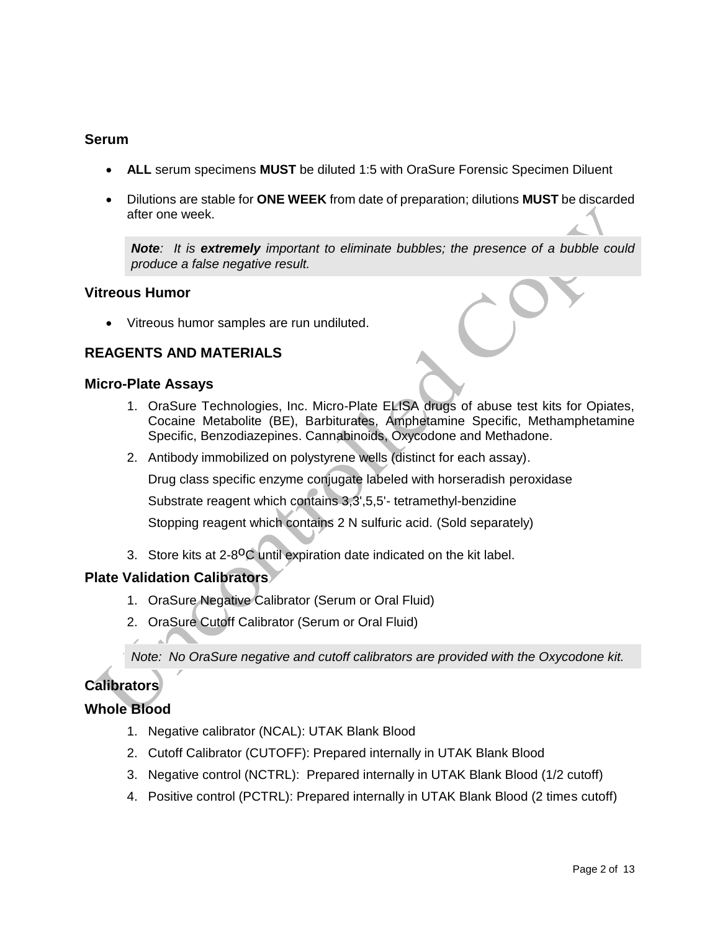# **Serum**

- **ALL** serum specimens **MUST** be diluted 1:5 with OraSure Forensic Specimen Diluent
- Dilutions are stable for **ONE WEEK** from date of preparation; dilutions **MUST** be discarded after one week.

**Note**: It is **extremely** *important* to eliminate bubbles; the presence of a bubble could *produce a false negative result.*

## **Vitreous Humor**

Vitreous humor samples are run undiluted.

# **REAGENTS AND MATERIALS**

#### **Micro-Plate Assays**

- 1. OraSure Technologies, Inc. Micro-Plate ELISA drugs of abuse test kits for Opiates, Cocaine Metabolite (BE), Barbiturates, Amphetamine Specific, Methamphetamine Specific, Benzodiazepines. Cannabinoids, Oxycodone and Methadone.
- 2. Antibody immobilized on polystyrene wells (distinct for each assay).

Drug class specific enzyme conjugate labeled with horseradish peroxidase

Substrate reagent which contains 3,3',5,5'- tetramethyl-benzidine

Stopping reagent which contains 2 N sulfuric acid. (Sold separately)

3. Store kits at 2-8<sup>o</sup>C until expiration date indicated on the kit label.

## **Plate Validation Calibrators**

- 1. OraSure Negative Calibrator (Serum or Oral Fluid)
- 2. OraSure Cutoff Calibrator (Serum or Oral Fluid)

*Note: No OraSure negative and cutoff calibrators are provided with the Oxycodone kit.*

# **Calibrators**

# **Whole Blood**

- 1. Negative calibrator (NCAL): UTAK Blank Blood
- 2. Cutoff Calibrator (CUTOFF): Prepared internally in UTAK Blank Blood
- 3. Negative control (NCTRL): Prepared internally in UTAK Blank Blood (1/2 cutoff)
- 4. Positive control (PCTRL): Prepared internally in UTAK Blank Blood (2 times cutoff)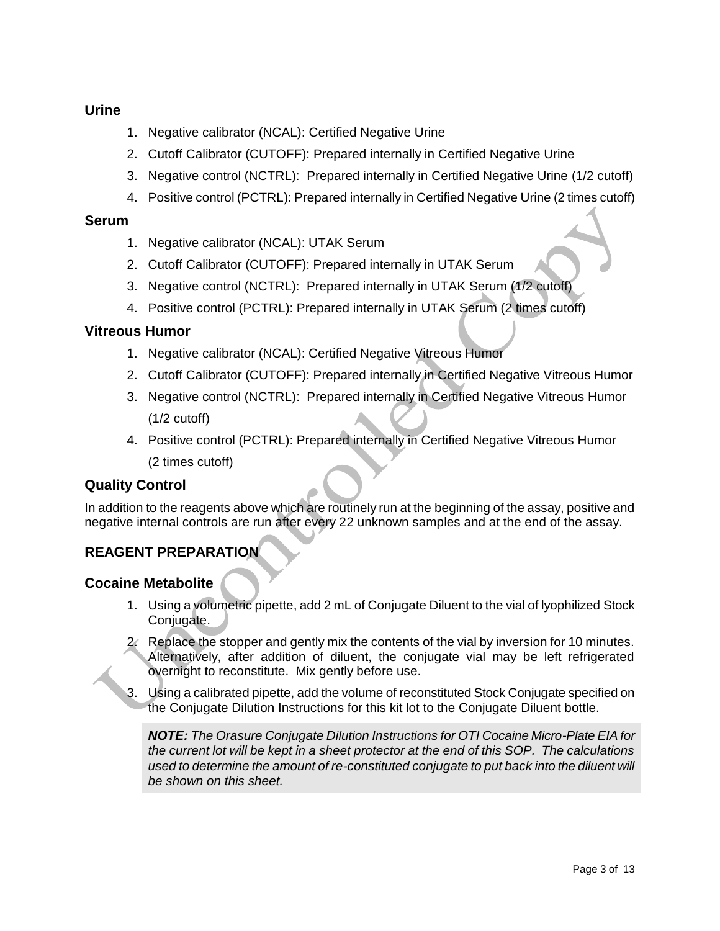# **Urine**

- 1. Negative calibrator (NCAL): Certified Negative Urine
- 2. Cutoff Calibrator (CUTOFF): Prepared internally in Certified Negative Urine
- 3. Negative control (NCTRL): Prepared internally in Certified Negative Urine (1/2 cutoff)
- 4. Positive control (PCTRL): Prepared internally in Certified Negative Urine (2 times cutoff)

## **Serum**

- 1. Negative calibrator (NCAL): UTAK Serum
- 2. Cutoff Calibrator (CUTOFF): Prepared internally in UTAK Serum
- 3. Negative control (NCTRL): Prepared internally in UTAK Serum (1/2 cutoff)
- 4. Positive control (PCTRL): Prepared internally in UTAK Serum (2 times cutoff)

## **Vitreous Humor**

- 1. Negative calibrator (NCAL): Certified Negative Vitreous Humor
- 2. Cutoff Calibrator (CUTOFF): Prepared internally in Certified Negative Vitreous Humor
- 3. Negative control (NCTRL): Prepared internally in Certified Negative Vitreous Humor  $(1/2 \text{ cutoff})$
- 4. Positive control (PCTRL): Prepared internally in Certified Negative Vitreous Humor (2 times cutoff)

## **Quality Control**

In addition to the reagents above which are routinely run at the beginning of the assay, positive and negative internal controls are run after every 22 unknown samples and at the end of the assay.

# **REAGENT PREPARATION**

## **Cocaine Metabolite**

- 1. Using a volumetric pipette, add 2 mL of Conjugate Diluent to the vial of lyophilized Stock Conjugate.
- 2. Replace the stopper and gently mix the contents of the vial by inversion for 10 minutes. Alternatively, after addition of diluent, the conjugate vial may be left refrigerated overnight to reconstitute. Mix gently before use.
- 3. Using a calibrated pipette, add the volume of reconstituted Stock Conjugate specified on the Conjugate Dilution Instructions for this kit lot to the Conjugate Diluent bottle.

*NOTE: The Orasure Conjugate Dilution Instructions for OTI Cocaine Micro-Plate EIA for the current lot will be kept in a sheet protector at the end of this SOP. The calculations used to determine the amount of re-constituted conjugate to put back into the diluent will be shown on this sheet.*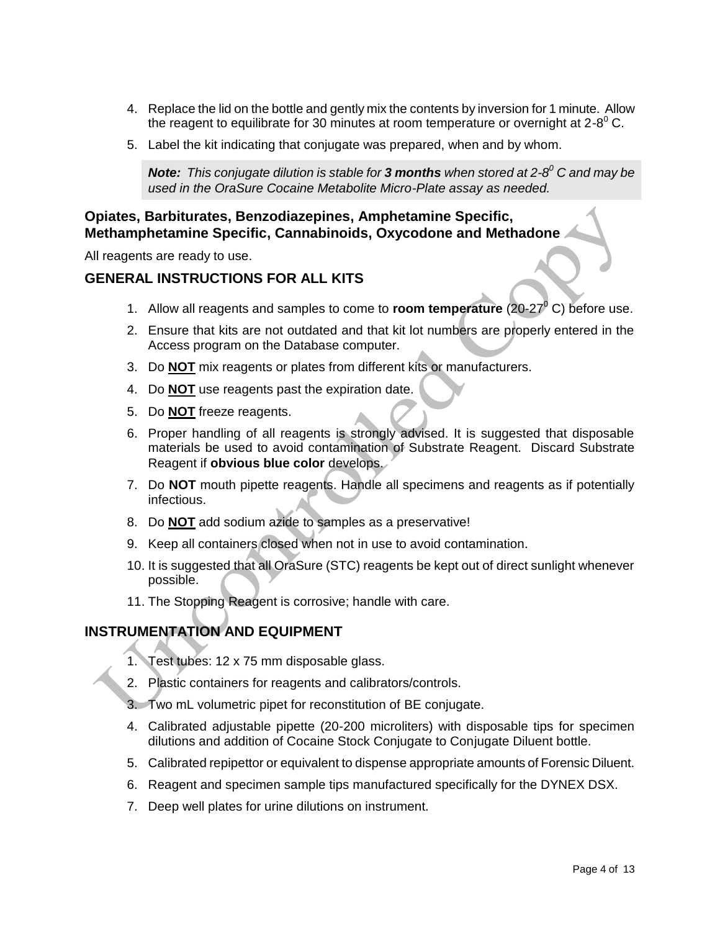- 4. Replace the lid on the bottle and gently mix the contents by inversion for 1 minute. Allow the reagent to equilibrate for 30 minutes at room temperature or overnight at 2-8 $^0$  C.
- 5. Label the kit indicating that conjugate was prepared, when and by whom.

*Note: This conjugate dilution is stable for 3 months when stored at 2-8 <sup>0</sup> C and may be used in the OraSure Cocaine Metabolite Micro-Plate assay as needed.*

# **Opiates, Barbiturates, Benzodiazepines, Amphetamine Specific, Methamphetamine Specific, Cannabinoids, Oxycodone and Methadone**

All reagents are ready to use.

# **GENERAL INSTRUCTIONS FOR ALL KITS**

- 1. Allow all reagents and samples to come to **room temperature** (20-27<sup>0</sup> C) before use.
- 2. Ensure that kits are not outdated and that kit lot numbers are properly entered in the Access program on the Database computer.
- 3. Do **NOT** mix reagents or plates from different kits or manufacturers.
- 4. Do **NOT** use reagents past the expiration date.
- 5. Do **NOT** freeze reagents.
- 6. Proper handling of all reagents is strongly advised. It is suggested that disposable materials be used to avoid contamination of Substrate Reagent. Discard Substrate Reagent if **obvious blue color** develops.
- 7. Do **NOT** mouth pipette reagents. Handle all specimens and reagents as if potentially infectious.
- 8. Do **NOT** add sodium azide to samples as a preservative!
- 9. Keep all containers closed when not in use to avoid contamination.
- 10. It is suggested that all OraSure (STC) reagents be kept out of direct sunlight whenever possible.
- 11. The Stopping Reagent is corrosive; handle with care.

## **INSTRUMENTATION AND EQUIPMENT**

- 1. Test tubes: 12 x 75 mm disposable glass.
- 2. Plastic containers for reagents and calibrators/controls.
- 3. Two mL volumetric pipet for reconstitution of BE conjugate.
- 4. Calibrated adjustable pipette (20-200 microliters) with disposable tips for specimen dilutions and addition of Cocaine Stock Conjugate to Conjugate Diluent bottle.
- 5. Calibrated repipettor or equivalent to dispense appropriate amounts of Forensic Diluent.
- 6. Reagent and specimen sample tips manufactured specifically for the DYNEX DSX.
- 7. Deep well plates for urine dilutions on instrument.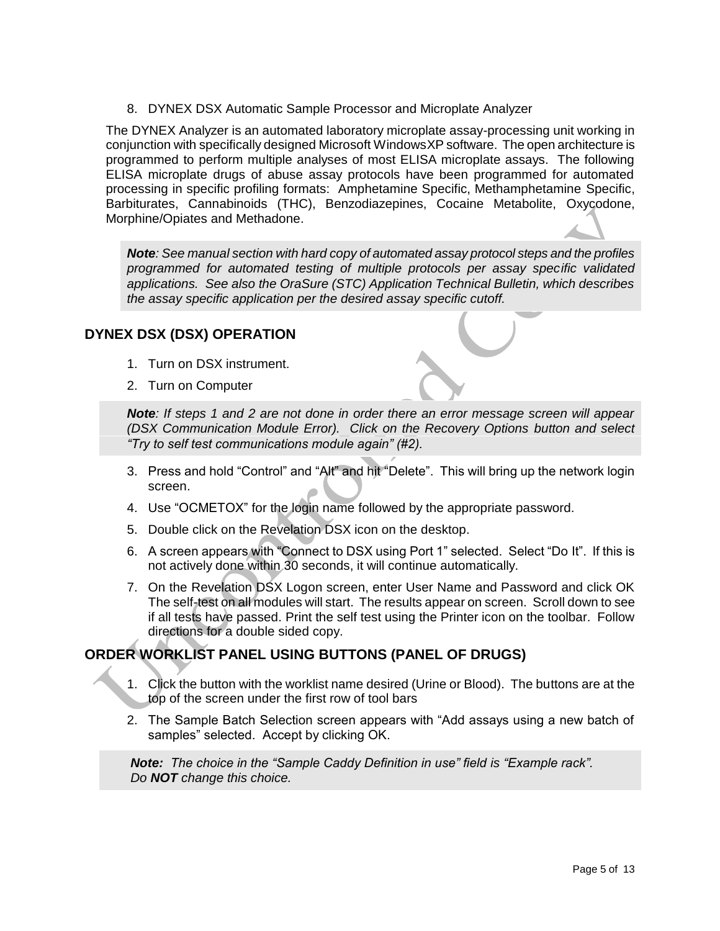8. DYNEX DSX Automatic Sample Processor and Microplate Analyzer

The DYNEX Analyzer is an automated laboratory microplate assay-processing unit working in conjunction with specifically designed Microsoft WindowsXP software. The open architecture is programmed to perform multiple analyses of most ELISA microplate assays. The following ELISA microplate drugs of abuse assay protocols have been programmed for automated processing in specific profiling formats: Amphetamine Specific, Methamphetamine Specific, Barbiturates, Cannabinoids (THC), Benzodiazepines, Cocaine Metabolite, Oxycodone, Morphine/Opiates and Methadone.

*Note: See manual section with hard copy of automated assay protocol steps and the profiles programmed for automated testing of multiple protocols per assay specific validated applications. See also the OraSure (STC) Application Technical Bulletin, which describes the assay specific application per the desired assay specific cutoff.*

# **DYNEX DSX (DSX) OPERATION**

- 1. Turn on DSX instrument.
- 2. Turn on Computer

*Note: If steps 1 and 2 are not done in order there an error message screen will appear (DSX Communication Module Error). Click on the Recovery Options button and select "Try to self test communications module again" (#2).*

- 3. Press and hold "Control" and "Alt" and hit "Delete". This will bring up the network login screen.
- 4. Use "OCMETOX" for the login name followed by the appropriate password.
- 5. Double click on the Revelation DSX icon on the desktop.
- 6. A screen appears with "Connect to DSX using Port 1" selected. Select "Do It". If this is not actively done within 30 seconds, it will continue automatically.
- 7. On the Revelation DSX Logon screen, enter User Name and Password and click OK The self-test on all modules will start. The results appear on screen. Scroll down to see if all tests have passed. Print the self test using the Printer icon on the toolbar. Follow directions for a double sided copy.

# **ORDER WORKLIST PANEL USING BUTTONS (PANEL OF DRUGS)**

- 1. Click the button with the worklist name desired (Urine or Blood). The buttons are at the top of the screen under the first row of tool bars
- 2. The Sample Batch Selection screen appears with "Add assays using a new batch of samples" selected. Accept by clicking OK.

*Note: The choice in the "Sample Caddy Definition in use" field is "Example rack". Do NOT change this choice.*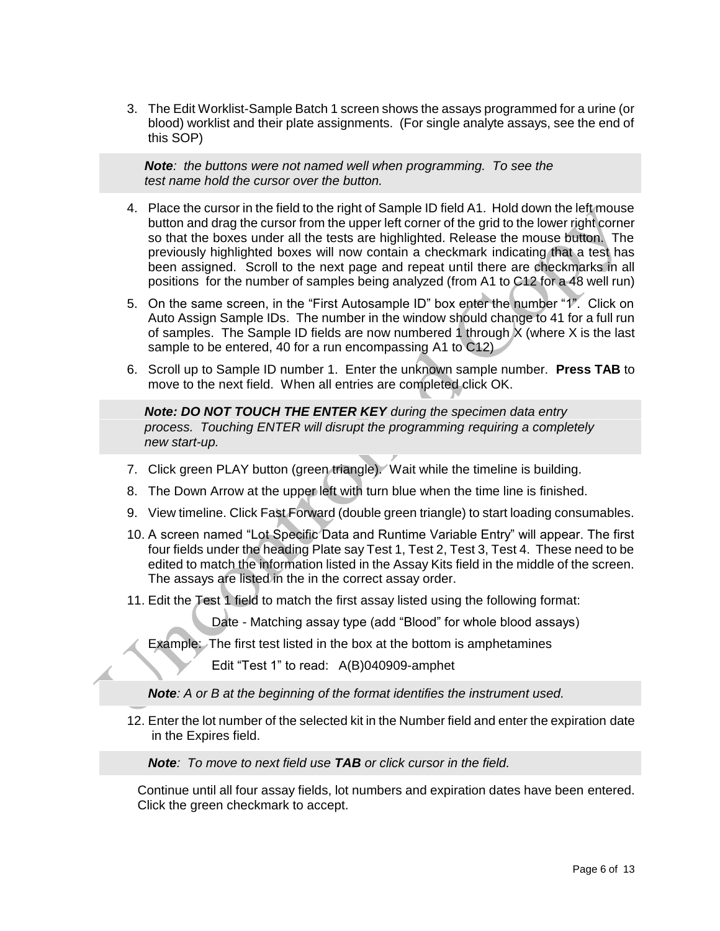3. The Edit Worklist-Sample Batch 1 screen shows the assays programmed for a urine (or blood) worklist and their plate assignments. (For single analyte assays, see the end of this SOP)

 *Note: the buttons were not named well when programming. To see the test name hold the cursor over the button.*

- 4. Place the cursor in the field to the right of Sample ID field A1. Hold down the left mouse button and drag the cursor from the upper left corner of the grid to the lower right corner so that the boxes under all the tests are highlighted. Release the mouse button. The previously highlighted boxes will now contain a checkmark indicating that a test has been assigned. Scroll to the next page and repeat until there are checkmarks in all positions for the number of samples being analyzed (from A1 to C12 for a 48 well run)
- 5. On the same screen, in the "First Autosample ID" box enter the number "1". Click on Auto Assign Sample IDs. The number in the window should change to 41 for a full run of samples. The Sample ID fields are now numbered 1 through X (where X is the last sample to be entered, 40 for a run encompassing A1 to C12)
- 6. Scroll up to Sample ID number 1. Enter the unknown sample number. **Press TAB** to move to the next field. When all entries are completed click OK.

 *Note: DO NOT TOUCH THE ENTER KEY during the specimen data entry process. Touching ENTER will disrupt the programming requiring a completely new start-up.* 

- 7. Click green PLAY button (green triangle). Wait while the timeline is building.
- 8. The Down Arrow at the upper left with turn blue when the time line is finished.
- 9. View timeline. Click Fast Forward (double green triangle) to start loading consumables.
- 10. A screen named "Lot Specific Data and Runtime Variable Entry" will appear. The first four fields under the heading Plate say Test 1, Test 2, Test 3, Test 4. These need to be edited to match the information listed in the Assay Kits field in the middle of the screen. The assays are listed in the in the correct assay order.
- 11. Edit the Test 1 field to match the first assay listed using the following format:

Date - Matching assay type (add "Blood" for whole blood assays)

Example: The first test listed in the box at the bottom is amphetamines

Edit "Test 1" to read: A(B)040909-amphet

 *Note: A or B at the beginning of the format identifies the instrument used.*

12. Enter the lot number of the selected kit in the Number field and enter the expiration date in the Expires field.

 *Note: To move to next field use TAB or click cursor in the field.* 

 Continue until all four assay fields, lot numbers and expiration dates have been entered. Click the green checkmark to accept.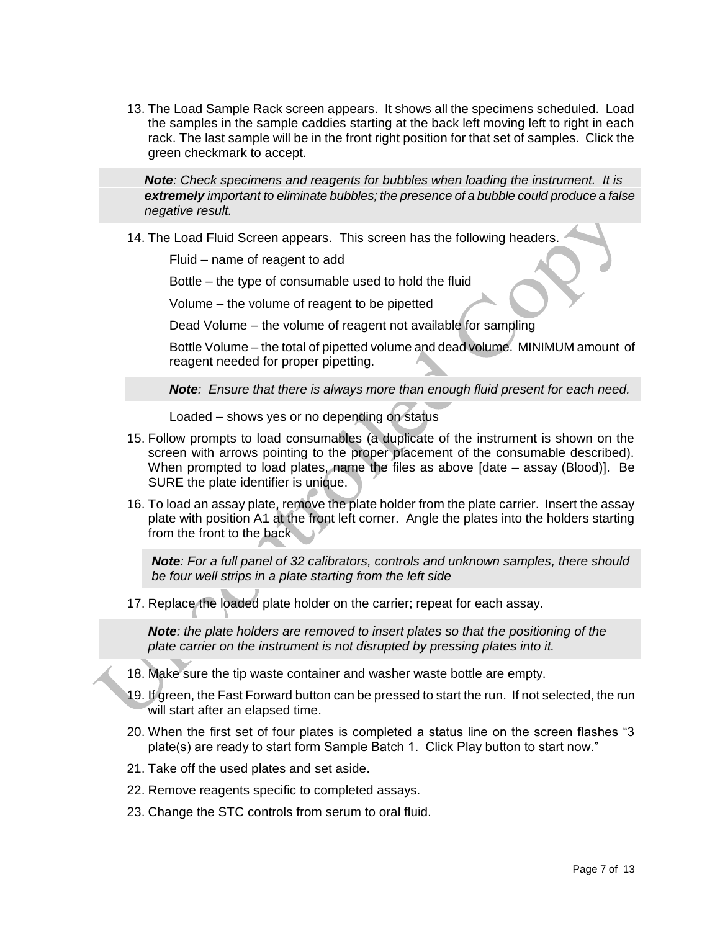13. The Load Sample Rack screen appears. It shows all the specimens scheduled. Load the samples in the sample caddies starting at the back left moving left to right in each rack. The last sample will be in the front right position for that set of samples. Click the green checkmark to accept.

 *Note: Check specimens and reagents for bubbles when loading the instrument. It is extremely important to eliminate bubbles; the presence of a bubble could produce a false negative result.*

14. The Load Fluid Screen appears. This screen has the following headers.

Fluid – name of reagent to add

Bottle – the type of consumable used to hold the fluid

Volume – the volume of reagent to be pipetted

Dead Volume – the volume of reagent not available for sampling

Bottle Volume – the total of pipetted volume and dead volume. MINIMUM amount of reagent needed for proper pipetting.

*Note: Ensure that there is always more than enough fluid present for each need.*

Loaded – shows yes or no depending on status

- 15. Follow prompts to load consumables (a duplicate of the instrument is shown on the screen with arrows pointing to the proper placement of the consumable described). When prompted to load plates, name the files as above [date – assay (Blood)]. Be SURE the plate identifier is unique.
- 16. To load an assay plate, remove the plate holder from the plate carrier. Insert the assay plate with position A1 at the front left corner. Angle the plates into the holders starting from the front to the back

*Note: For a full panel of 32 calibrators, controls and unknown samples, there should be four well strips in a plate starting from the left side*

17. Replace the loaded plate holder on the carrier; repeat for each assay.

 *Note: the plate holders are removed to insert plates so that the positioning of the plate carrier on the instrument is not disrupted by pressing plates into it.*

- 18. Make sure the tip waste container and washer waste bottle are empty.
- 19. If green, the Fast Forward button can be pressed to start the run. If not selected, the run will start after an elapsed time.
- 20. When the first set of four plates is completed a status line on the screen flashes "3 plate(s) are ready to start form Sample Batch 1. Click Play button to start now."
- 21. Take off the used plates and set aside.
- 22. Remove reagents specific to completed assays.
- 23. Change the STC controls from serum to oral fluid.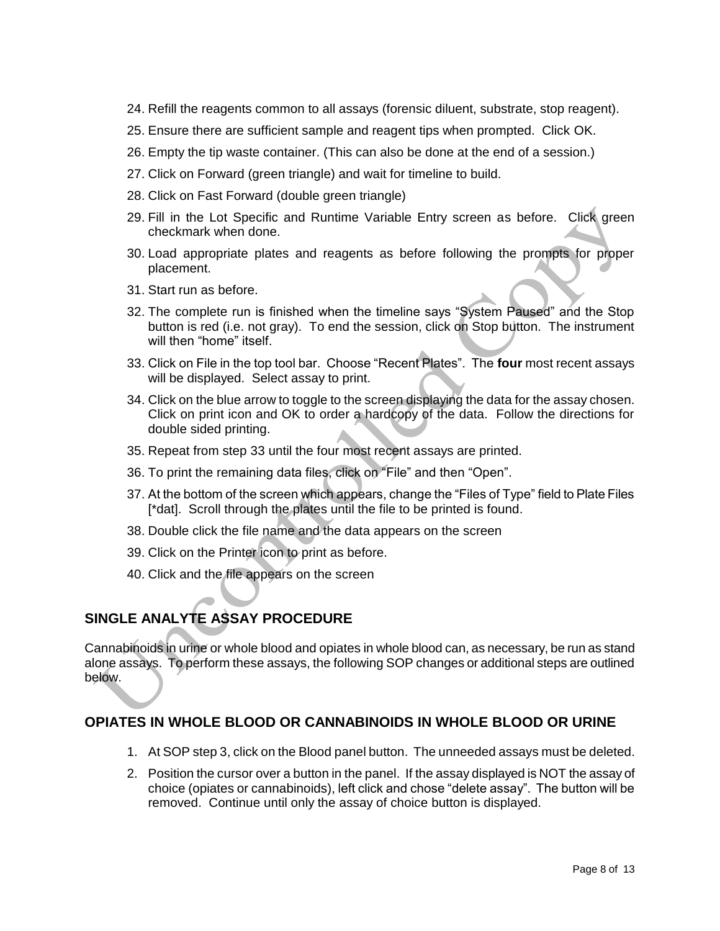- 24. Refill the reagents common to all assays (forensic diluent, substrate, stop reagent).
- 25. Ensure there are sufficient sample and reagent tips when prompted. Click OK.
- 26. Empty the tip waste container. (This can also be done at the end of a session.)
- 27. Click on Forward (green triangle) and wait for timeline to build.
- 28. Click on Fast Forward (double green triangle)
- 29. Fill in the Lot Specific and Runtime Variable Entry screen as before. Click green checkmark when done.
- 30. Load appropriate plates and reagents as before following the prompts for proper placement.
- 31. Start run as before.
- 32. The complete run is finished when the timeline says "System Paused" and the Stop button is red (i.e. not gray). To end the session, click on Stop button. The instrument will then "home" itself.
- 33. Click on File in the top tool bar. Choose "Recent Plates". The **four** most recent assays will be displayed. Select assay to print.
- 34. Click on the blue arrow to toggle to the screen displaying the data for the assay chosen. Click on print icon and OK to order a hardcopy of the data. Follow the directions for double sided printing.
- 35. Repeat from step 33 until the four most recent assays are printed.
- 36. To print the remaining data files, click on "File" and then "Open".
- 37. At the bottom of the screen which appears, change the "Files of Type" field to Plate Files [\*dat]. Scroll through the plates until the file to be printed is found.
- 38. Double click the file name and the data appears on the screen
- 39. Click on the Printer icon to print as before.
- 40. Click and the file appears on the screen

# **SINGLE ANALYTE ASSAY PROCEDURE**

Cannabinoids in urine or whole blood and opiates in whole blood can, as necessary, be run as stand alone assays. To perform these assays, the following SOP changes or additional steps are outlined below.

# **OPIATES IN WHOLE BLOOD OR CANNABINOIDS IN WHOLE BLOOD OR URINE**

- 1. At SOP step 3, click on the Blood panel button. The unneeded assays must be deleted.
- 2. Position the cursor over a button in the panel. If the assay displayed is NOT the assay of choice (opiates or cannabinoids), left click and chose "delete assay". The button will be removed. Continue until only the assay of choice button is displayed.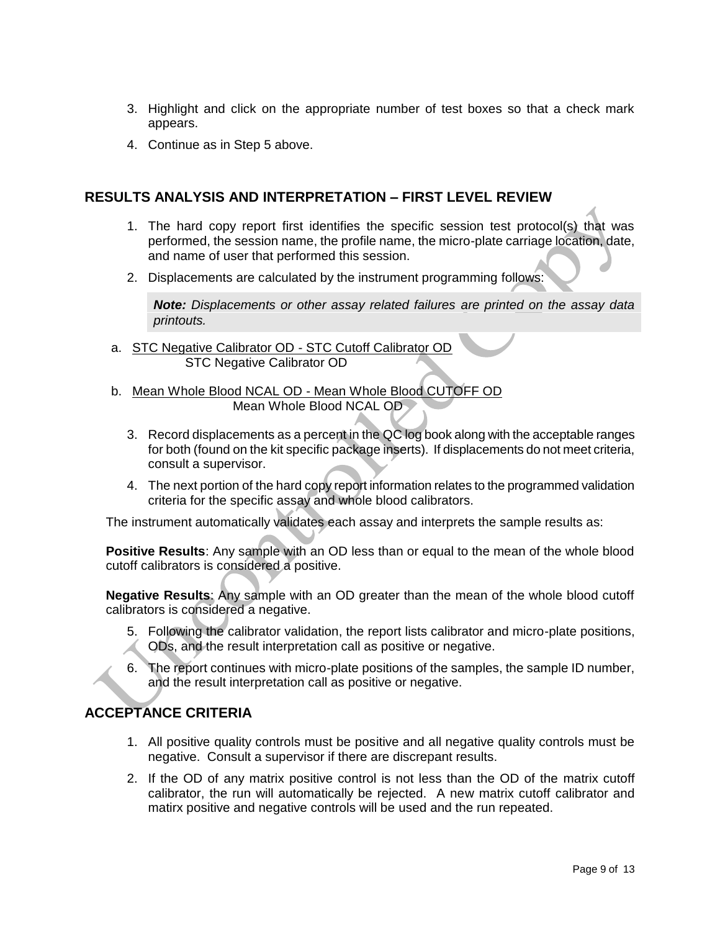- 3. Highlight and click on the appropriate number of test boxes so that a check mark appears.
- 4. Continue as in Step 5 above.

# **RESULTS ANALYSIS AND INTERPRETATION – FIRST LEVEL REVIEW**

- 1. The hard copy report first identifies the specific session test protocol(s) that was performed, the session name, the profile name, the micro-plate carriage location, date, and name of user that performed this session.
- 2. Displacements are calculated by the instrument programming follows:

*Note: Displacements or other assay related failures are printed on the assay data printouts.*

- a. STC Negative Calibrator OD STC Cutoff Calibrator OD STC Negative Calibrator OD
- b. Mean Whole Blood NCAL OD Mean Whole Blood CUTOFF OD Mean Whole Blood NCAL OD
	- 3. Record displacements as a percent in the QC log book along with the acceptable ranges for both (found on the kit specific package inserts). If displacements do not meet criteria, consult a supervisor.
	- 4. The next portion of the hard copy report information relates to the programmed validation criteria for the specific assay and whole blood calibrators.

The instrument automatically validates each assay and interprets the sample results as:

**Positive Results**: Any sample with an OD less than or equal to the mean of the whole blood cutoff calibrators is considered a positive.

**Negative Results**: Any sample with an OD greater than the mean of the whole blood cutoff calibrators is considered a negative.

- 5. Following the calibrator validation, the report lists calibrator and micro-plate positions, ODs, and the result interpretation call as positive or negative.
- 6. The report continues with micro-plate positions of the samples, the sample ID number, and the result interpretation call as positive or negative.

# **ACCEPTANCE CRITERIA**

- 1. All positive quality controls must be positive and all negative quality controls must be negative. Consult a supervisor if there are discrepant results.
- 2. If the OD of any matrix positive control is not less than the OD of the matrix cutoff calibrator, the run will automatically be rejected. A new matrix cutoff calibrator and matirx positive and negative controls will be used and the run repeated.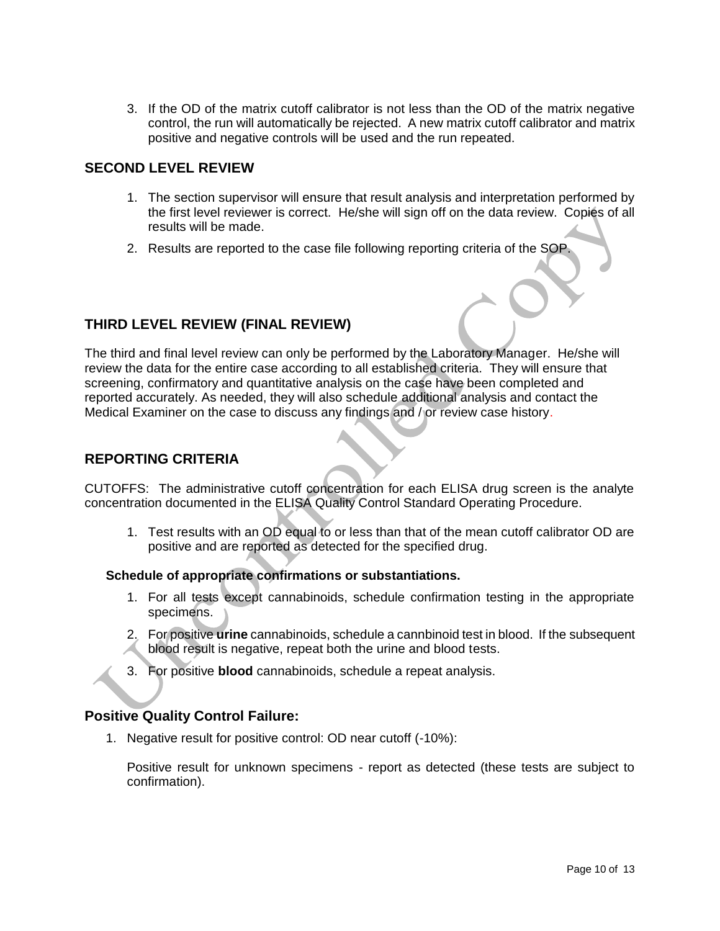3. If the OD of the matrix cutoff calibrator is not less than the OD of the matrix negative control, the run will automatically be rejected. A new matrix cutoff calibrator and matrix positive and negative controls will be used and the run repeated.

# **SECOND LEVEL REVIEW**

- 1. The section supervisor will ensure that result analysis and interpretation performed by the first level reviewer is correct. He/she will sign off on the data review. Copies of all results will be made.
- 2. Results are reported to the case file following reporting criteria of the SOP.

# **THIRD LEVEL REVIEW (FINAL REVIEW)**

The third and final level review can only be performed by the Laboratory Manager. He/she will review the data for the entire case according to all established criteria. They will ensure that screening, confirmatory and quantitative analysis on the case have been completed and reported accurately. As needed, they will also schedule additional analysis and contact the Medical Examiner on the case to discuss any findings and / or review case history.

# **REPORTING CRITERIA**

CUTOFFS: The administrative cutoff concentration for each ELISA drug screen is the analyte concentration documented in the ELISA Quality Control Standard Operating Procedure.

1. Test results with an OD equal to or less than that of the mean cutoff calibrator OD are positive and are reported as detected for the specified drug.

#### **Schedule of appropriate confirmations or substantiations.**

- 1. For all tests except cannabinoids, schedule confirmation testing in the appropriate specimens.
- 2. For positive **urine** cannabinoids, schedule a cannbinoid test in blood. If the subsequent blood result is negative, repeat both the urine and blood tests.
- 3. For positive **blood** cannabinoids, schedule a repeat analysis.

## **Positive Quality Control Failure:**

1. Negative result for positive control: OD near cutoff (-10%):

Positive result for unknown specimens - report as detected (these tests are subject to confirmation).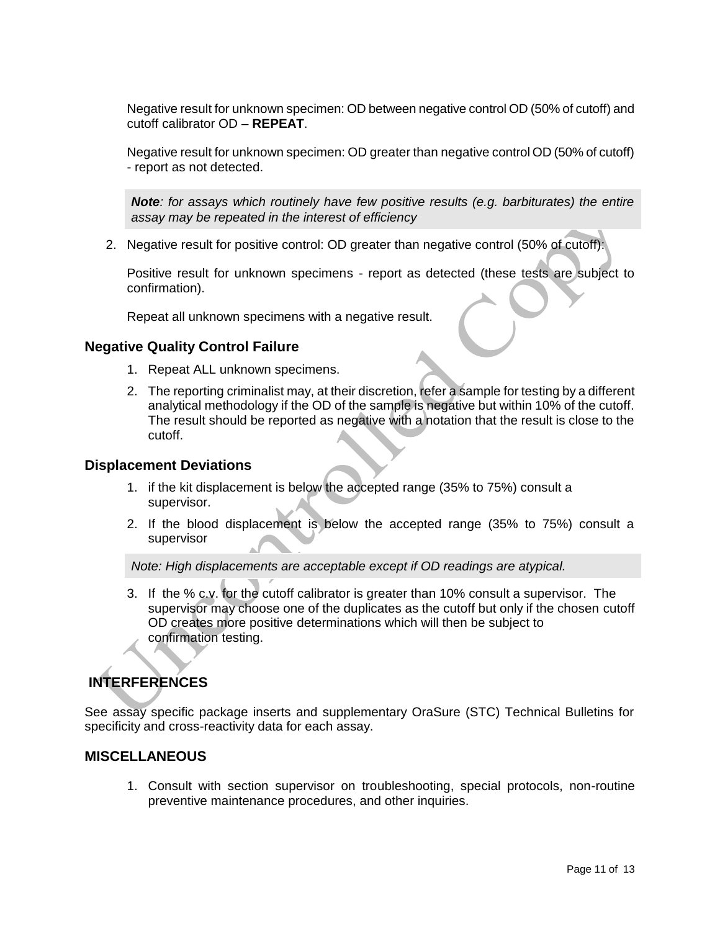Negative result for unknown specimen: OD between negative control OD (50% of cutoff) and cutoff calibrator OD – **REPEAT**.

Negative result for unknown specimen: OD greater than negative control OD (50% of cutoff) - report as not detected.

*Note: for assays which routinely have few positive results (e.g. barbiturates) the entire assay may be repeated in the interest of efficiency*

2. Negative result for positive control: OD greater than negative control (50% of cutoff):

Positive result for unknown specimens - report as detected (these tests are subject to confirmation).

Repeat all unknown specimens with a negative result.

### **Negative Quality Control Failure**

- 1. Repeat ALL unknown specimens.
- 2. The reporting criminalist may, at their discretion, refer a sample for testing by a different analytical methodology if the OD of the sample is negative but within 10% of the cutoff. The result should be reported as negative with a notation that the result is close to the cutoff.

#### **Displacement Deviations**

- 1. if the kit displacement is below the accepted range (35% to 75%) consult a supervisor.
- 2. If the blood displacement is below the accepted range (35% to 75%) consult a supervisor

*Note: High displacements are acceptable except if OD readings are atypical.*

3. If the % c.v. for the cutoff calibrator is greater than 10% consult a supervisor. The supervisor may choose one of the duplicates as the cutoff but only if the chosen cutoff OD creates more positive determinations which will then be subject to confirmation testing.

# **INTERFERENCES**

See assay specific package inserts and supplementary OraSure (STC) Technical Bulletins for specificity and cross-reactivity data for each assay.

## **MISCELLANEOUS**

1. Consult with section supervisor on troubleshooting, special protocols, non-routine preventive maintenance procedures, and other inquiries.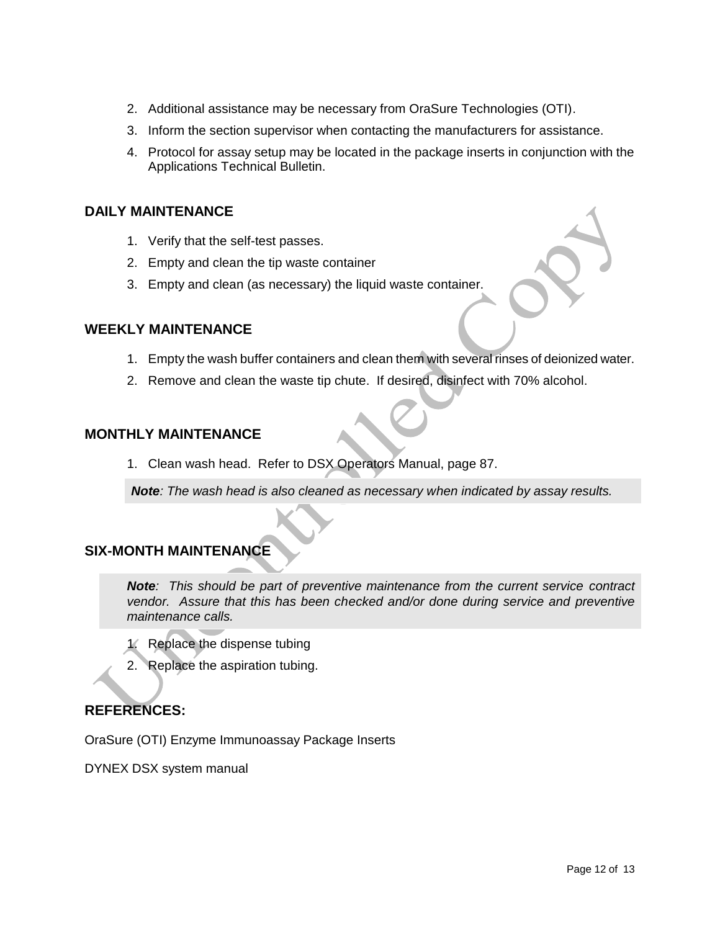- 2. Additional assistance may be necessary from OraSure Technologies (OTI).
- 3. Inform the section supervisor when contacting the manufacturers for assistance.
- 4. Protocol for assay setup may be located in the package inserts in conjunction with the Applications Technical Bulletin.

### **DAILY MAINTENANCE**

- 1. Verify that the self-test passes.
- 2. Empty and clean the tip waste container
- 3. Empty and clean (as necessary) the liquid waste container.

### **WEEKLY MAINTENANCE**

- 1. Empty the wash buffer containers and clean them with several rinses of deionized water.
- 2. Remove and clean the waste tip chute. If desired, disinfect with 70% alcohol.

# **MONTHLY MAINTENANCE**

1. Clean wash head. Refer to DSX Operators Manual, page 87.

*Note: The wash head is also cleaned as necessary when indicated by assay results.*

# **SIX-MONTH MAINTENANCE**

*Note: This should be part of preventive maintenance from the current service contract vendor. Assure that this has been checked and/or done during service and preventive maintenance calls.*

- 1. Replace the dispense tubing
- 2. Replace the aspiration tubing.

## **REFERENCES:**

OraSure (OTI) Enzyme Immunoassay Package Inserts

DYNEX DSX system manual